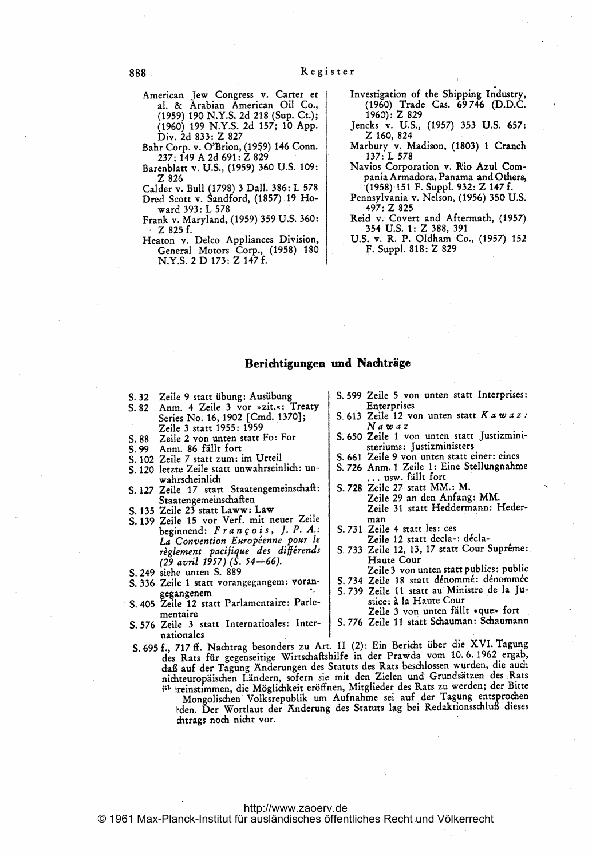- American Jew Congress v. Carter et al. & Arabian American Oil Co., (1959) 190 N.Y.S. 2d 218 (Sup. Ct.); (1960) 199 N.Y.S. 2d 157; 10 App. Div. 2d 833: Z 827
- Bahr Corp. v. O'Brion, (1959) 146 Conn. 237; 149 A 2d 691: Z 829
- Barenblatt v. U.S., (1959) 360 U.S. 109: Z 826

Calder v. Bull (1798) 3 Dall. 386: L 578 Dred Scott v. Sandford, (1857) 19 Ho-

- ward 393: L 578 Frank v. Maryland, (1959) 359 U.S. 360:
- $Z$  825 f. Heaton v. Delco Appliances Division,<br>General Motors Corp., (1958) 180<br>N.Y.S. 2 D 173: Z 147 f.
- Investigation of the Shipping Industry, (1960) Trade Cas. 69746 (D.D.C.  $1960$ : Z 829
- Jencks v. U.S., (1957) 353 U.S. 657: Z 160, 824
- Marbury v. Madison, (1803) 1 Cranch  $137: L 578$
- Navios Corporation v. Rio Azul Companía Armadora, Panama and Others, (1958) 151 F. Suppl. 932: Z 147 f.
- Pennsylvania v. Nelson, (1956) 350 U.S. 497: Z 825
- Reid v. Covert and Aftermath, (1957)<br>354 U.S. 1: Z 388, 391<br>U.S. v. R. P. Oldham Co., (1957) 152
- F. Suppl. 818: Z 829

## Berichtigungen und Nachträge

- S. 32 Zeile 9 statt übung: Ausübung
- Anm. 4 Zeile 3 vor »zit.«: Treaty  $S.82$ Series No. 16, 1902 [Cmd. 1370]; Zeile 3 statt 1955: 1959
- Zeile 2 von unten statt Fo: For S. 88
- Anm. 86 fällt fort  $S.99$
- S. 102 Zeile 7 statt zum: im Urteil
- S. 120 letzte Zeile statt unwahrseinlich: unwahrscheinlich
- S. 127 Zeile 17 statt Staatengemeinschaft: Staatengemeinschaften
- S. 135 Zeile 23 statt Laww: Law
- S. 139 Zeile 15 vor Verf. mit neuer Zeile<br>beginnend: François, J. P. A.: La Convention Européenne pour le règlement pacifique des différends  $(29$  avril 1957)  $(\bar{S}, 54-66)$ .
- S. 249 siehe unten S. 889
- S. 336 Zeile 1 statt vorangegangem: voran-
- segangenem<br>-S. 405 Zeile 12 statt Parlamentaire: Parlementaire
- S. 576 Zeile 3 statt Internatioales: Internationales S. 695 f., 717 ff. Nachtrag besonders zu Art. II (2): Ein Bericht über die XVI. Tagung<br>des Rats für gegenseitige Wirtschaftshilfe in der Prawda vom 10.6.1962 ergab,

chtrags noch nicht vor.

- S. 599 Zeile 5 von unten statt Interprises: Enterprises S. 613 Zeile 12 von unten statt  $K$  a  $w$  a z :
- N a w a z
- S. 650 Zeile 1 von unten statt Justizministeriums: Justizministers
- S. 661 Zeile 9 von unten statt einer: eines
- S. 726 Anm. 1 Zeile 1: Eine Stellungnahme .. usw. fällt fort
- S. 728 Zeile 27 statt MM.: M. Zeile 29 an den Anfang: MM. Zeile 31 statt Heddermann: Hederman
- S. 731 Zeile 4 statt les: ces
- Zeile 12 statt decla-: décla-
- S. 733 Zeile 12, 13, 17 statt Cour Suprême: Haute Cour
	- Zeile 3 von unten statt publics: public
- S. 734 Zeile 18 statt dénommé: dénommée S. 739 Zeile 11 statt au Ministre de la Ju
	- stice: à la Haute Cour
	- Zeile 3 von unten fällt «que» fort
- S. 776 Zeile 11 statt Schauman: Schaumann

http://www.zaoerv.de © 1961 Max-Planck-Institut für ausländisches öffentliches Recht und Völkerrecht

daß auf der Tagung Anderungen des Statuts des Rats beschlossen wurden, die auch nichteuropäischen Ländern, sofern sie mit den Zielen und Grundsätzen des Rats ül treinstimmen, die Möglichkeit eröffnen, Mitglieder des Rats zu werden; der Bitte Mongolischen Volksrepublik um Aufnahme sei auf der Tagung entsprochen rden. Der Wortlaut der Anderung des Statuts lag bei Redaktionsschluß dieses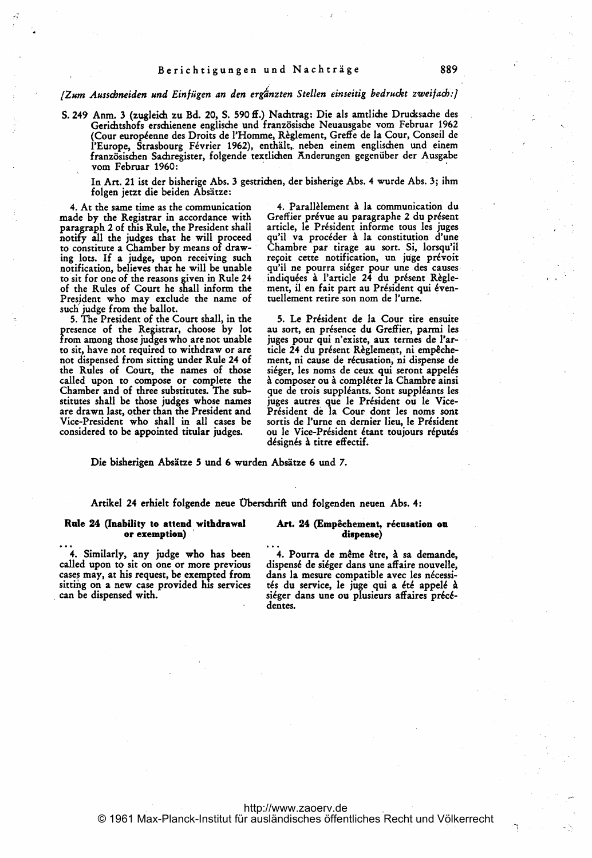# Berichtigungen und Nachträge 889

## [Zum Ausschneiden und Einfügen an den ergänzten Stellen einseitig bedruckt zweifach:]

S. 249 Anm. 3 (zugleich zu Bd. 20, S. 590 ff.) Nachtrag: Die als amtliche Drucksache des Gerichtshofs erschienene englische und französische Neuausgabe vom Februar 1962 Ausschneiden und Einfügen an den ergänzten Stellen einseitig bedruckt zweifach:<br>Anm. 3 (zugleich zu Bd. 20, S. 590 ff.) Nachtrag: Die als amtliche Drucksache des<br>Gerichtshofs erschienene englische und französische Neuausga l'Europe, Strasbourg Février 1962), enthält, neben einem englischen und einem französischen Sachregister, folgende textlichen Anderungen gegenüber der Ausgabe vom Februar 1960:

In Art. <sup>21</sup> ist der bisherige Abs. <sup>3</sup> gestrichen, der bisherige Abs. <sup>4</sup> wurde Abs. 3; ihm folgen jetzt die beiden Absätze:

made by the Registrar in accordance with Greffier prévue au paragraphe 2 du présent paragraph 2 of this Rule, the President shall paragraph 2 of this relief, the Fresherm shahr and the constitution of the state in the independent of the state of the state of the state of the state of the state of the state of the state of the state of the state of th nothy an the judges that he win proceed you was proceed to the constitution of the ing lots. If a judge, upon receiving such notification, believes that he will be unable notification, believes that he will be unable qu'il ne pourra siéger pour une des causes<br>to sit for one of the reasons given in Rule 24 andiquées à l'article 24 du présent Règleto sit for one of the reasons given in Rule 24 of the Rules of Court he shall inform the ment, il en fait part au Président qui évenof the Rules of Court he shall inform the ment, il en fait part au Président qui éven-<br>President who may exclude the name of tuellement retire son nom de l'urne. such judge from the ballot.

presence of the Registrar, choose by lot from among those judges who are not unable  $\frac{1}{2}$ to sit, have not required to withdraw or are not dispensed from sitting under Rule 24 of ment, ni cause de récusation, ni dispense de the Rules of Court, the names of those siéger, les noms de ceux qui seront appelés called upon to compose or complete the a composer ou a completer la Chambre ainsi<br>Chamber and of three substitutes. The sub- que de trois suppleants. Sont suppleants les Chamber and of three substitutes. The substitutes shall be those judges whose names juges autres que le Président ou le Vice-<br>are drawn last, other than the President and Président de la Cour dont les noms sont Vice-President who shall in all cases be sortis de l'urne en dernier lieu, le Président

4. At the same time as the communication 4. Parallelement à la communication du article, le Président informe tous les juges qu'il va procéder à la constitution d'une Chambre par tirage au sort. Si, lorsqu'il regoit cette notification, un juge pr

5. The President of the Court shall, in the 5. Le Pr6sident de la Cour tire ensuite au sort, en présence du Greffier, parmi les uges pour qui n'existe, aux termes de l'article 24 du présent Règlement, ni empêche-Président de la Cour dont les noms sont considered to be appointed titular judges. ou le Vice-Président étant toujours réputés désignés à titre effectif.

Die bisherigen Absätze <sup>5</sup> und 6 wurden Absätze 6 und 7.

## Artikel 24 erhielt folgende neue Überschrift und folgenden neuen Abs. 4:

## Rule 24 (Inability to attend withdrawal or exemption)

4. Similarly, any judge who has been called upon to sit on one or more previous cases may, at his request, be exempted from sitting on a new case provided his services can be dispensed with.

#### Art. 24 (Empêchement, récusation ou dispense)

4. Pourra de même être, à sa demande, dispensé de siéger dans une affaire nouvelle, dans la mesure compatible avec les nécessités du service, le juge qui a été appelé à siéger dans une ou plusieurs affaires précédentes.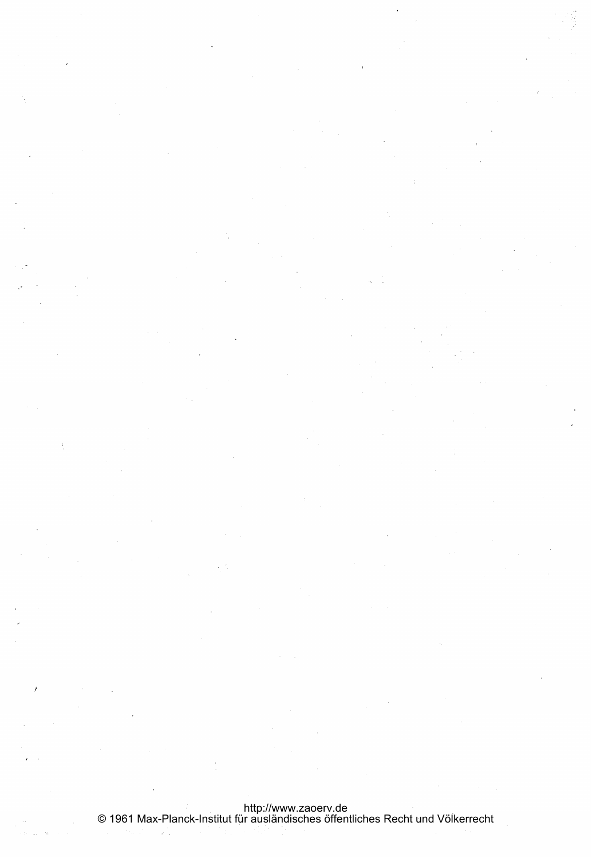

<http://www.zaoerv.de> © 1961 Max-Planck-Institut für ausländisches öffentliches Recht und Völkerrecht